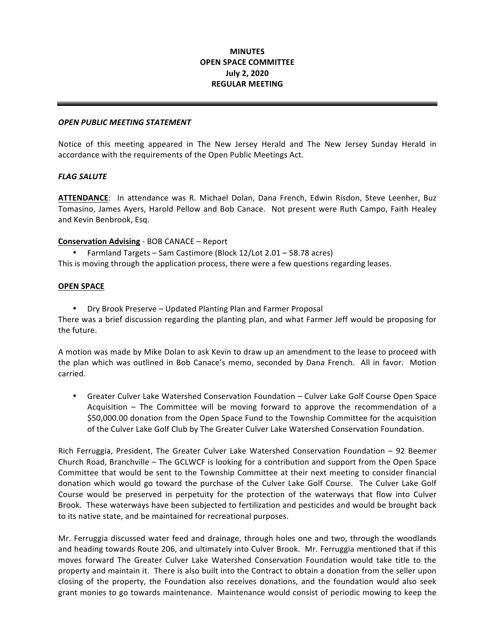# **MINUTES OPEN SPACE COMMITTEE July 2, 2020 REGULAR MEETING**

## *OPEN PUBLIC MEETING STATEMENT*

 Notice of this meeting appeared in The New Jersey Herald and The New Jersey Sunday Herald in accordance with the requirements of the Open Public Meetings Act.

#### *FLAG SALUTE*

ATTENDANCE: In attendance was R. Michael Dolan, Dana French, Edwin Risdon, Steve Leenher, Buz Tomasino, James Ayers, Harold Pellow and Bob Canace. Not present were Ruth Campo, Faith Healey and Kevin Benbrook, Esq.

## **Conservation Advising** - BOB CANACE – Report

• Farmland Targets – Sam Castimore (Block 12/Lot 2.01 – 58.78 acres) This is moving through the application process, there were a few questions regarding leases.

#### **OPEN SPACE**

 • Dry Brook Preserve – Updated Planting Plan and Farmer Proposal There was a brief discussion regarding the planting plan, and what Farmer Jeff would be proposing for the future.

A motion was made by Mike Dolan to ask Kevin to draw up an amendment to the lease to proceed with the plan which was outlined in Bob Canace's memo, seconded by Dana French. All in favor. Motion carried.

• Greater Culver Lake Watershed Conservation Foundation – Culver Lake Golf Course Open Space Acquisition – The Committee will be moving forward to approve the recommendation of a \$50,000.00 donation from the Open Space Fund to the Township Committee for the acquisition of the Culver Lake Golf Club by The Greater Culver Lake Watershed Conservation Foundation.

Rich Ferruggia, President, The Greater Culver Lake Watershed Conservation Foundation - 92 Beemer Church Road, Branchville – The GCLWCF is looking for a contribution and support from the Open Space Committee that would be sent to the Township Committee at their next meeting to consider financial donation which would go toward the purchase of the Culver Lake Golf Course. The Culver Lake Golf Course would be preserved in perpetuity for the protection of the waterways that flow into Culver Brook. These waterways have been subjected to fertilization and pesticides and would be brought back to its native state, and be maintained for recreational purposes.

 Mr. Ferruggia discussed water feed and drainage, through holes one and two, through the woodlands and heading towards Route 206, and ultimately into Culver Brook. Mr. Ferruggia mentioned that if this moves forward The Greater Culver Lake Watershed Conservation Foundation would take title to the property and maintain it. There is also built into the Contract to obtain a donation from the seller upon closing of the property, the Foundation also receives donations, and the foundation would also seek grant monies to go towards maintenance. Maintenance would consist of periodic mowing to keep the